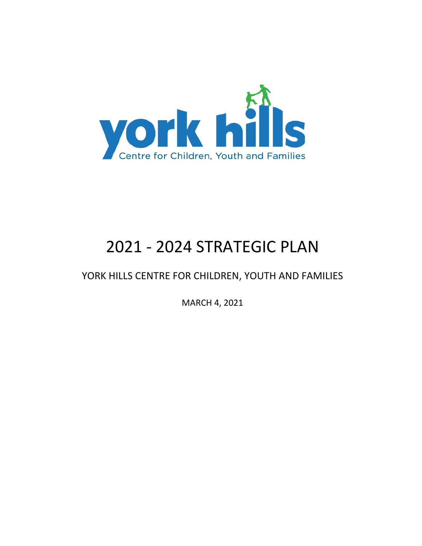

# 2021 - 2024 STRATEGIC PLAN

### YORK HILLS CENTRE FOR CHILDREN, YOUTH AND FAMILIES

MARCH 4, 2021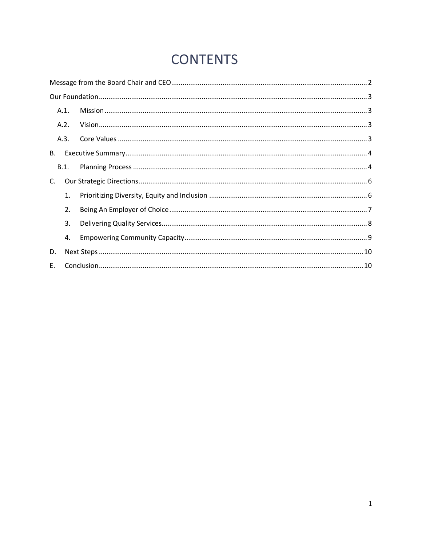## **CONTENTS**

|    | A.1. |  |
|----|------|--|
|    | A.2. |  |
|    | A.3. |  |
| В. |      |  |
|    | B.1. |  |
| C. |      |  |
|    | 1.   |  |
|    | 2.   |  |
|    | 3.   |  |
|    | 4.   |  |
| D. |      |  |
| E. |      |  |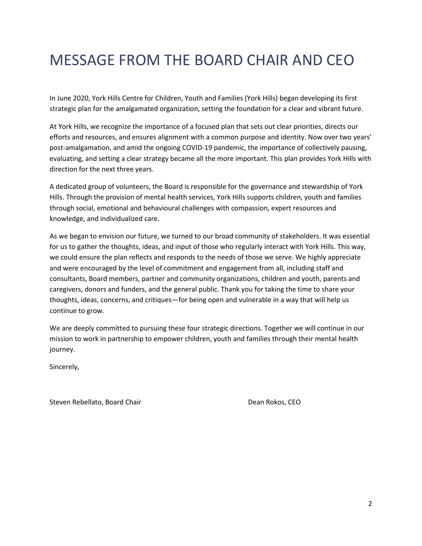## <span id="page-2-0"></span>MESSAGE FROM THE BOARD CHAIR AND CEO

In June 2020, York Hills Centre for Children, Youth and Families (York Hills) began developing its first strategic plan for the amalgamated organization, setting the foundation for a clear and vibrant future.

At York Hills, we recognize the importance of a focused plan that sets out clear priorities, directs our efforts and resources, and ensures alignment with a common purpose and identity. Now over two years' post-amalgamation, and amid the ongoing COVID-19 pandemic, the importance of collectively pausing, evaluating, and setting a clear strategy became all the more important. This plan provides York Hills with direction for the next three years.

A dedicated group of volunteers, the Board is responsible for the governance and stewardship of York Hills. Through the provision of mental health services, York Hills supports children, youth and families through social, emotional and behavioural challenges with compassion, expert resources and knowledge, and individualized care.

As we began to envision our future, we turned to our broad community of stakeholders. It was essential for us to gather the thoughts, ideas, and input of those who regularly interact with York Hills. This way, we could ensure the plan reflects and responds to the needs of those we serve. We highly appreciate and were encouraged by the level of commitment and engagement from all, including staff and consultants, Board members, partner and community organizations, children and youth, parents and caregivers, donors and funders, and the general public. Thank you for taking the time to share your thoughts, ideas, concerns, and critiques—for being open and vulnerable in a way that will help us continue to grow.

We are deeply committed to pursuing these four strategic directions. Together we will continue in our mission to work in partnership to empower children, youth and families through their mental health journey.

Sincerely,

Steven Rebellato, Board Chair **Dean Rokos, CEO**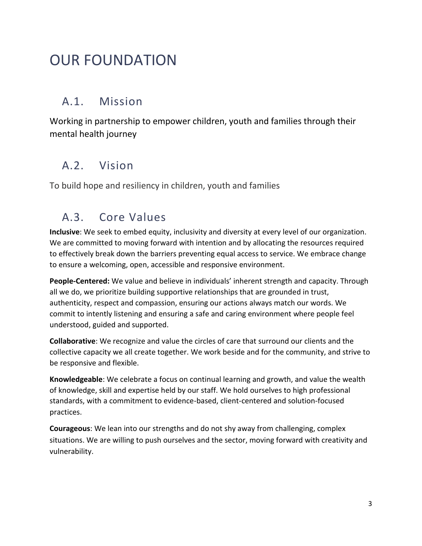## <span id="page-3-0"></span>OUR FOUNDATION

### <span id="page-3-1"></span>A.1. Mission

Working in partnership to empower children, youth and families through their mental health journey

### <span id="page-3-2"></span>A.2. Vision

<span id="page-3-3"></span>To build hope and resiliency in children, youth and families

### A.3. Core Values

**Inclusive**: We seek to embed equity, inclusivity and diversity at every level of our organization. We are committed to moving forward with intention and by allocating the resources required to effectively break down the barriers preventing equal access to service. We embrace change to ensure a welcoming, open, accessible and responsive environment.

**People-Centered:** We value and believe in individuals' inherent strength and capacity. Through all we do, we prioritize building supportive relationships that are grounded in trust, authenticity, respect and compassion, ensuring our actions always match our words. We commit to intently listening and ensuring a safe and caring environment where people feel understood, guided and supported.

**Collaborative**: We recognize and value the circles of care that surround our clients and the collective capacity we all create together. We work beside and for the community, and strive to be responsive and flexible.

**Knowledgeable**: We celebrate a focus on continual learning and growth, and value the wealth of knowledge, skill and expertise held by our staff. We hold ourselves to high professional standards, with a commitment to evidence-based, client-centered and solution-focused practices.

**Courageous**: We lean into our strengths and do not shy away from challenging, complex situations. We are willing to push ourselves and the sector, moving forward with creativity and vulnerability.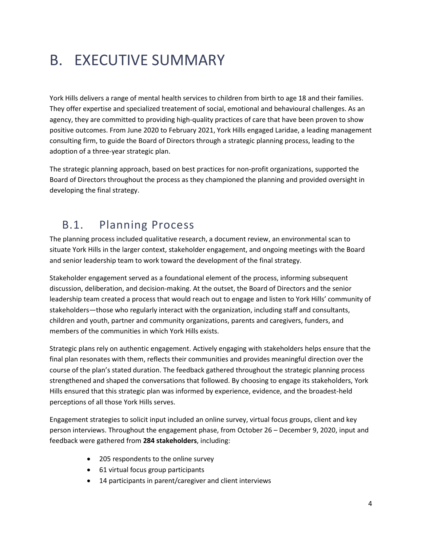# <span id="page-4-0"></span>B. EXECUTIVE SUMMARY

York Hills delivers a range of mental health services to children from birth to age 18 and their families. They offer expertise and specialized treatement of social, emotional and behavioural challenges. As an agency, they are committed to providing high-quality practices of care that have been proven to show positive outcomes. From June 2020 to February 2021, York Hills engaged Laridae, a leading management consulting firm, to guide the Board of Directors through a strategic planning process, leading to the adoption of a three-year strategic plan.

The strategic planning approach, based on best practices for non-profit organizations, supported the Board of Directors throughout the process as they championed the planning and provided oversight in developing the final strategy.

### <span id="page-4-1"></span>B.1. Planning Process

The planning process included qualitative research, a document review, an environmental scan to situate York Hills in the larger context, stakeholder engagement, and ongoing meetings with the Board and senior leadership team to work toward the development of the final strategy.

Stakeholder engagement served as a foundational element of the process, informing subsequent discussion, deliberation, and decision-making. At the outset, the Board of Directors and the senior leadership team created a process that would reach out to engage and listen to York Hills' community of stakeholders—those who regularly interact with the organization, including staff and consultants, children and youth, partner and community organizations, parents and caregivers, funders, and members of the communities in which York Hills exists.

Strategic plans rely on authentic engagement. Actively engaging with stakeholders helps ensure that the final plan resonates with them, reflects their communities and provides meaningful direction over the course of the plan's stated duration. The feedback gathered throughout the strategic planning process strengthened and shaped the conversations that followed. By choosing to engage its stakeholders, York Hills ensured that this strategic plan was informed by experience, evidence, and the broadest-held perceptions of all those York Hills serves.

Engagement strategies to solicit input included an online survey, virtual focus groups, client and key person interviews. Throughout the engagement phase, from October 26 – December 9, 2020, input and feedback were gathered from **284 stakeholders**, including:

- 205 respondents to the online survey
- 61 virtual focus group participants
- 14 participants in parent/caregiver and client interviews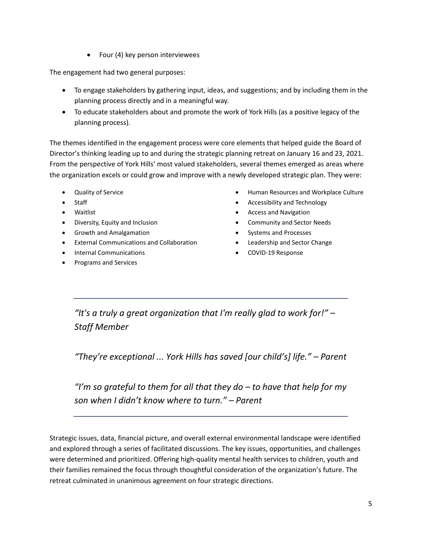• Four (4) key person interviewees

The engagement had two general purposes:

- To engage stakeholders by gathering input, ideas, and suggestions; and by including them in the planning process directly and in a meaningful way.
- To educate stakeholders about and promote the work of York Hills (as a positive legacy of the planning process).

The themes identified in the engagement process were core elements that helped guide the Board of Director's thinking leading up to and during the strategic planning retreat on January 16 and 23, 2021. From the perspective of York Hills' most valued stakeholders, several themes emerged as areas where the organization excels or could grow and improve with a newly developed strategic plan. They were:

- Quality of Service
- **Staff**
- Waitlist
- Diversity, Equity and Inclusion
- Growth and Amalgamation
- External Communications and Collaboration
- Internal Communications
- Programs and Services
- Human Resources and Workplace Culture
- Accessibility and Technology
- Access and Navigation
- Community and Sector Needs
- Systems and Processes
- Leadership and Sector Change
- COVID-19 Response

*"It's a truly a great organization that I'm really glad to work for!"* – *Staff Member*

*"They're exceptional ... York Hills has saved [our child's] life." – Parent*

*"I'm so grateful to them for all that they do – to have that help for my son when I didn't know where to turn." – Parent*

Strategic issues, data, financial picture, and overall external environmental landscape were identified and explored through a series of facilitated discussions. The key issues, opportunities, and challenges were determined and prioritized. Offering high-quality mental health services to children, youth and their families remained the focus through thoughtful consideration of the organization's future. The retreat culminated in unanimous agreement on four strategic directions.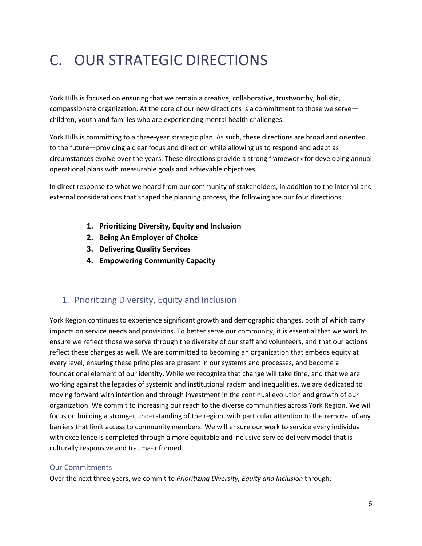# <span id="page-6-0"></span>C. OUR STRATEGIC DIRECTIONS

York Hills is focused on ensuring that we remain a creative, collaborative, trustworthy, holistic, compassionate organization. At the core of our new directions is a commitment to those we serve children, youth and families who are experiencing mental health challenges.

York Hills is committing to a three-year strategic plan. As such, these directions are broad and oriented to the future—providing a clear focus and direction while allowing us to respond and adapt as circumstances evolve over the years. These directions provide a strong framework for developing annual operational plans with measurable goals and achievable objectives.

In direct response to what we heard from our community of stakeholders, in addition to the internal and external considerations that shaped the planning process, the following are our four directions:

- **1. Prioritizing Diversity, Equity and Inclusion**
- **2. Being An Employer of Choice**
- **3. Delivering Quality Services**
- **4. Empowering Community Capacity**

#### <span id="page-6-1"></span>1. Prioritizing Diversity, Equity and Inclusion

York Region continues to experience significant growth and demographic changes, both of which carry impacts on service needs and provisions. To better serve our community, it is essential that we work to ensure we reflect those we serve through the diversity of our staff and volunteers, and that our actions reflect these changes as well. We are committed to becoming an organization that embeds equity at every level, ensuring these principles are present in our systems and processes, and become a foundational element of our identity. While we recognize that change will take time, and that we are working against the legacies of systemic and institutional racism and inequalities, we are dedicated to moving forward with intention and through investment in the continual evolution and growth of our organization. We commit to increasing our reach to the diverse communities across York Region. We will focus on building a stronger understanding of the region, with particular attention to the removal of any barriers that limit access to community members. We will ensure our work to service every individual with excellence is completed through a more equitable and inclusive service delivery model that is culturally responsive and trauma-informed.

#### Our Commitments

Over the next three years, we commit to *Prioritizing Diversity, Equity and Inclusion* through: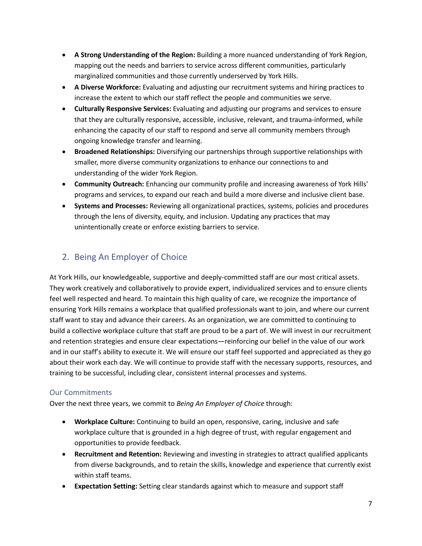- **A Strong Understanding of the Region:** Building a more nuanced understanding of York Region, mapping out the needs and barriers to service across different communities, particularly marginalized communities and those currently underserved by York Hills.
- **A Diverse Workforce:** Evaluating and adjusting our recruitment systems and hiring practices to increase the extent to which our staff reflect the people and communities we serve.
- **Culturally Responsive Services:** Evaluating and adjusting our programs and services to ensure that they are culturally responsive, accessible, inclusive, relevant, and trauma-informed, while enhancing the capacity of our staff to respond and serve all community members through ongoing knowledge transfer and learning.
- **Broadened Relationships:** Diversifying our partnerships through supportive relationships with smaller, more diverse community organizations to enhance our connections to and understanding of the wider York Region.
- **Community Outreach:** Enhancing our community profile and increasing awareness of York Hills' programs and services, to expand our reach and build a more diverse and inclusive client base.
- **Systems and Processes:** Reviewing all organizational practices, systems, policies and procedures through the lens of diversity, equity, and inclusion. Updating any practices that may unintentionally create or enforce existing barriers to service.

#### <span id="page-7-0"></span>2. Being An Employer of Choice

At York Hills, our knowledgeable, supportive and deeply-committed staff are our most critical assets. They work creatively and collaboratively to provide expert, individualized services and to ensure clients feel well respected and heard. To maintain this high quality of care, we recognize the importance of ensuring York Hills remains a workplace that qualified professionals want to join, and where our current staff want to stay and advance their careers. As an organization, we are committed to continuing to build a collective workplace culture that staff are proud to be a part of. We will invest in our recruitment and retention strategies and ensure clear expectations—reinforcing our belief in the value of our work and in our staff's ability to execute it. We will ensure our staff feel supported and appreciated as they go about their work each day. We will continue to provide staff with the necessary supports, resources, and training to be successful, including clear, consistent internal processes and systems.

#### Our Commitments

Over the next three years, we commit to *Being An Employer of Choice* through:

- **Workplace Culture:** Continuing to build an open, responsive, caring, inclusive and safe workplace culture that is grounded in a high degree of trust, with regular engagement and opportunities to provide feedback.
- **Recruitment and Retention:** Reviewing and investing in strategies to attract qualified applicants from diverse backgrounds, and to retain the skills, knowledge and experience that currently exist within staff teams.
- **Expectation Setting:** Setting clear standards against which to measure and support staff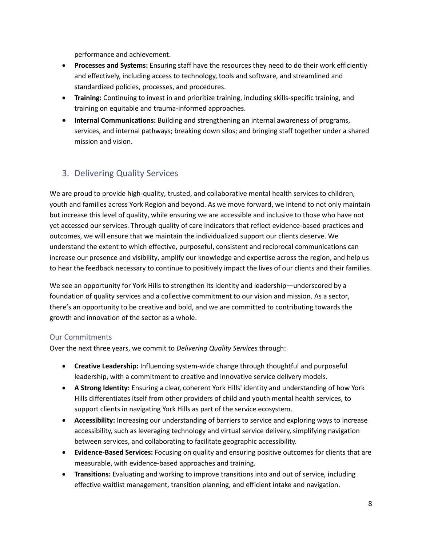performance and achievement.

- **Processes and Systems:** Ensuring staff have the resources they need to do their work efficiently and effectively, including access to technology, tools and software, and streamlined and standardized policies, processes, and procedures.
- **Training:** Continuing to invest in and prioritize training, including skills-specific training, and training on equitable and trauma-informed approaches.
- **Internal Communications:** Building and strengthening an internal awareness of programs, services, and internal pathways; breaking down silos; and bringing staff together under a shared mission and vision.

#### <span id="page-8-0"></span>3. Delivering Quality Services

We are proud to provide high-quality, trusted, and collaborative mental health services to children, youth and families across York Region and beyond. As we move forward, we intend to not only maintain but increase this level of quality, while ensuring we are accessible and inclusive to those who have not yet accessed our services. Through quality of care indicators that reflect evidence-based practices and outcomes, we will ensure that we maintain the individualized support our clients deserve. We understand the extent to which effective, purposeful, consistent and reciprocal communications can increase our presence and visibility, amplify our knowledge and expertise across the region, and help us to hear the feedback necessary to continue to positively impact the lives of our clients and their families.

We see an opportunity for York Hills to strengthen its identity and leadership—underscored by a foundation of quality services and a collective commitment to our vision and mission. As a sector, there's an opportunity to be creative and bold, and we are committed to contributing towards the growth and innovation of the sector as a whole.

#### Our Commitments

Over the next three years, we commit to *Delivering Quality Services* through:

- **Creative Leadership:** Influencing system-wide change through thoughtful and purposeful leadership, with a commitment to creative and innovative service delivery models.
- **A Strong Identity:** Ensuring a clear, coherent York Hills' identity and understanding of how York Hills differentiates itself from other providers of child and youth mental health services, to support clients in navigating York Hills as part of the service ecosystem.
- **Accessibility:** Increasing our understanding of barriers to service and exploring ways to increase accessibility, such as leveraging technology and virtual service delivery, simplifying navigation between services, and collaborating to facilitate geographic accessibility.
- **Evidence-Based Services:** Focusing on quality and ensuring positive outcomes for clients that are measurable, with evidence-based approaches and training.
- **Transitions:** Evaluating and working to improve transitions into and out of service, including effective waitlist management, transition planning, and efficient intake and navigation.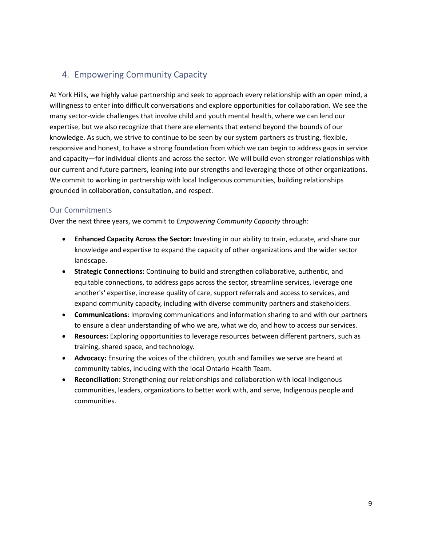#### <span id="page-9-0"></span>4. Empowering Community Capacity

At York Hills, we highly value partnership and seek to approach every relationship with an open mind, a willingness to enter into difficult conversations and explore opportunities for collaboration. We see the many sector-wide challenges that involve child and youth mental health, where we can lend our expertise, but we also recognize that there are elements that extend beyond the bounds of our knowledge. As such, we strive to continue to be seen by our system partners as trusting, flexible, responsive and honest, to have a strong foundation from which we can begin to address gaps in service and capacity—for individual clients and across the sector. We will build even stronger relationships with our current and future partners, leaning into our strengths and leveraging those of other organizations. We commit to working in partnership with local Indigenous communities, building relationships grounded in collaboration, consultation, and respect.

#### Our Commitments

Over the next three years, we commit to *Empowering Community Capacity* through:

- **Enhanced Capacity Across the Sector:** Investing in our ability to train, educate, and share our knowledge and expertise to expand the capacity of other organizations and the wider sector landscape.
- **Strategic Connections:** Continuing to build and strengthen collaborative, authentic, and equitable connections, to address gaps across the sector, streamline services, leverage one another's' expertise, increase quality of care, support referrals and access to services, and expand community capacity, including with diverse community partners and stakeholders.
- **Communications**: Improving communications and information sharing to and with our partners to ensure a clear understanding of who we are, what we do, and how to access our services.
- **Resources:** Exploring opportunities to leverage resources between different partners, such as training, shared space, and technology.
- **Advocacy:** Ensuring the voices of the children, youth and families we serve are heard at community tables, including with the local Ontario Health Team.
- **Reconciliation:** Strengthening our relationships and collaboration with local Indigenous communities, leaders, organizations to better work with, and serve, Indigenous people and communities.